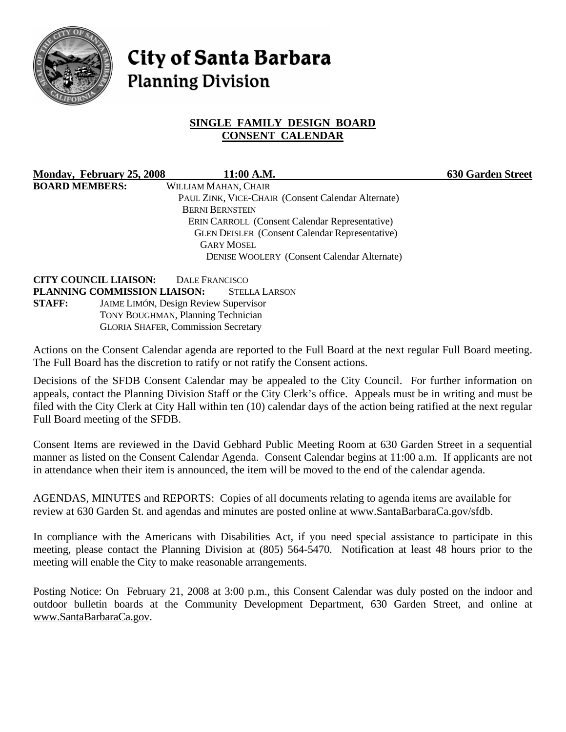

# **City of Santa Barbara Planning Division**

## **SINGLE FAMILY DESIGN BOARD CONSENT CALENDAR**

**Monday, February 25, 2008 11:00 A.M. 630 Garden Street BOARD MEMBERS:** WILLIAM MAHAN, CHAIR PAUL ZINK, VICE-CHAIR (Consent Calendar Alternate) BERNI BERNSTEIN ERIN CARROLL (Consent Calendar Representative) GLEN DEISLER (Consent Calendar Representative) GARY MOSEL DENISE WOOLERY (Consent Calendar Alternate)

**CITY COUNCIL LIAISON:** DALE FRANCISCO **PLANNING COMMISSION LIAISON:** STELLA LARSON **STAFF:** JAIME LIMÓN, Design Review Supervisor TONY BOUGHMAN, Planning Technician GLORIA SHAFER, Commission Secretary

Actions on the Consent Calendar agenda are reported to the Full Board at the next regular Full Board meeting. The Full Board has the discretion to ratify or not ratify the Consent actions.

Decisions of the SFDB Consent Calendar may be appealed to the City Council. For further information on appeals, contact the Planning Division Staff or the City Clerk's office. Appeals must be in writing and must be filed with the City Clerk at City Hall within ten (10) calendar days of the action being ratified at the next regular Full Board meeting of the SFDB.

Consent Items are reviewed in the David Gebhard Public Meeting Room at 630 Garden Street in a sequential manner as listed on the Consent Calendar Agenda. Consent Calendar begins at 11:00 a.m. If applicants are not in attendance when their item is announced, the item will be moved to the end of the calendar agenda.

AGENDAS, MINUTES and REPORTS: Copies of all documents relating to agenda items are available for review at 630 Garden St. and agendas and minutes are posted online at www.SantaBarbaraCa.gov/sfdb.

In compliance with the Americans with Disabilities Act, if you need special assistance to participate in this meeting, please contact the Planning Division at (805) 564-5470. Notification at least 48 hours prior to the meeting will enable the City to make reasonable arrangements.

Posting Notice: On February 21, 2008 at 3:00 p.m., this Consent Calendar was duly posted on the indoor and outdoor bulletin boards at the Community Development Department, 630 Garden Street, and online at www.SantaBarbaraCa.gov.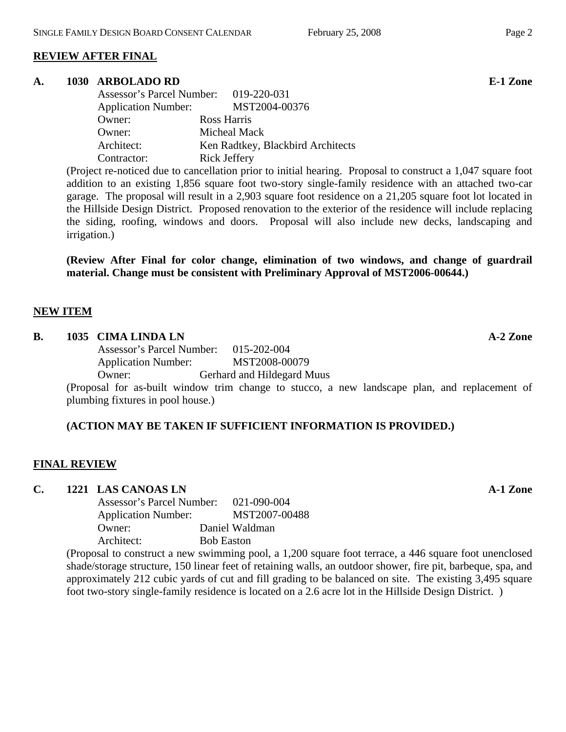## **REVIEW AFTER FINAL**

#### **A. 1030 ARBOLADO RD E-1 Zone**

| Assessor's Parcel Number: 019-220-031 |                                   |
|---------------------------------------|-----------------------------------|
| <b>Application Number:</b>            | MST2004-00376                     |
| Owner:                                | Ross Harris                       |
| Owner:                                | Micheal Mack                      |
| Architect:                            | Ken Radtkey, Blackbird Architects |
| Contractor:                           | Rick Jeffery                      |

(Project re-noticed due to cancellation prior to initial hearing. Proposal to construct a 1,047 square foot addition to an existing 1,856 square foot two-story single-family residence with an attached two-car garage. The proposal will result in a 2,903 square foot residence on a 21,205 square foot lot located in the Hillside Design District. Proposed renovation to the exterior of the residence will include replacing the siding, roofing, windows and doors. Proposal will also include new decks, landscaping and irrigation.)

**(Review After Final for color change, elimination of two windows, and change of guardrail material. Change must be consistent with Preliminary Approval of MST2006-00644.)** 

#### **NEW ITEM**

#### **B.** 1035 CIMA LINDA LN **A-2** Zone

 Assessor's Parcel Number: 015-202-004 Application Number: MST2008-00079 Owner: Gerhard and Hildegard Muus

(Proposal for as-built window trim change to stucco, a new landscape plan, and replacement of plumbing fixtures in pool house.)

#### **(ACTION MAY BE TAKEN IF SUFFICIENT INFORMATION IS PROVIDED.)**

#### **FINAL REVIEW**

#### **C. 1221 LAS CANOAS LN A-1 Zone**

| Assessor's Parcel Number:  | 021-090-004       |
|----------------------------|-------------------|
| <b>Application Number:</b> | MST2007-00488     |
| Owner:                     | Daniel Waldman    |
| Architect:                 | <b>Bob Easton</b> |
|                            |                   |

(Proposal to construct a new swimming pool, a 1,200 square foot terrace, a 446 square foot unenclosed shade/storage structure, 150 linear feet of retaining walls, an outdoor shower, fire pit, barbeque, spa, and approximately 212 cubic yards of cut and fill grading to be balanced on site. The existing 3,495 square foot two-story single-family residence is located on a 2.6 acre lot in the Hillside Design District. )